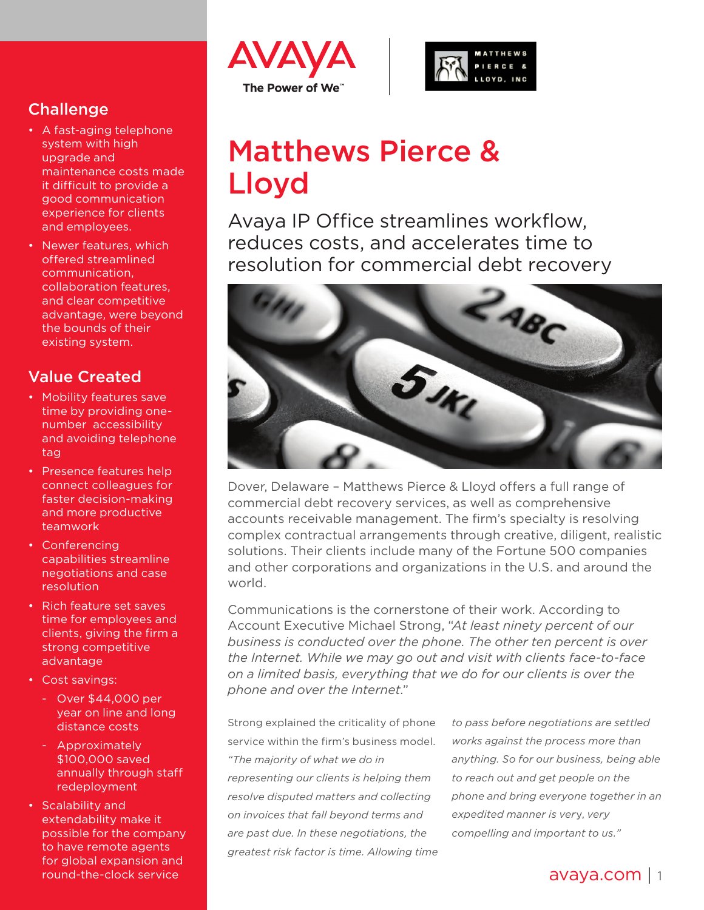## **Challenge**

- A fast-aging telephone system with high upgrade and maintenance costs made it difficult to provide a good communication experience for clients and employees.
- Newer features, which offered streamlined communication, collaboration features, and clear competitive advantage, were beyond the bounds of their existing system.

## Value Created

- Mobility features save time by providing onenumber accessibility and avoiding telephone tag
- Presence features help connect colleagues for faster decision-making and more productive teamwork
- Conferencing capabilities streamline negotiations and case resolution
- Rich feature set saves time for employees and clients, giving the firm a strong competitive advantage
- Cost savings:
	- Over \$44,000 per year on line and long distance costs
	- Approximately \$100,000 saved annually through staff redeployment
- Scalability and extendability make it possible for the company to have remote agents for global expansion and round-the-clock service





# Matthews Pierce & Lloyd

Avaya IP Office streamlines workflow, reduces costs, and accelerates time to resolution for commercial debt recovery



Dover, Delaware – Matthews Pierce & Lloyd offers a full range of commercial debt recovery services, as well as comprehensive accounts receivable management. The firm's specialty is resolving complex contractual arrangements through creative, diligent, realistic solutions. Their clients include many of the Fortune 500 companies and other corporations and organizations in the U.S. and around the world.

Communications is the cornerstone of their work. According to Account Executive Michael Strong, "*At least ninety percent of our business is conducted over the phone. The other ten percent is over the Internet. While we may go out and visit with clients face-to-face on a limited basis, everything that we do for our clients is over the phone and over the Internet*."

Strong explained the criticality of phone service within the firm's business model. *"The majority of what we do in representing our clients is helping them resolve disputed matters and collecting on invoices that fall beyond terms and are past due. In these negotiations, the greatest risk factor is time. Allowing time* 

*to pass before negotiations are settled works against the process more than anything. So for our business, being able to reach out and get people on the phone and bring everyone together in an expedited manner is ver*y, *very compelling and important to us."*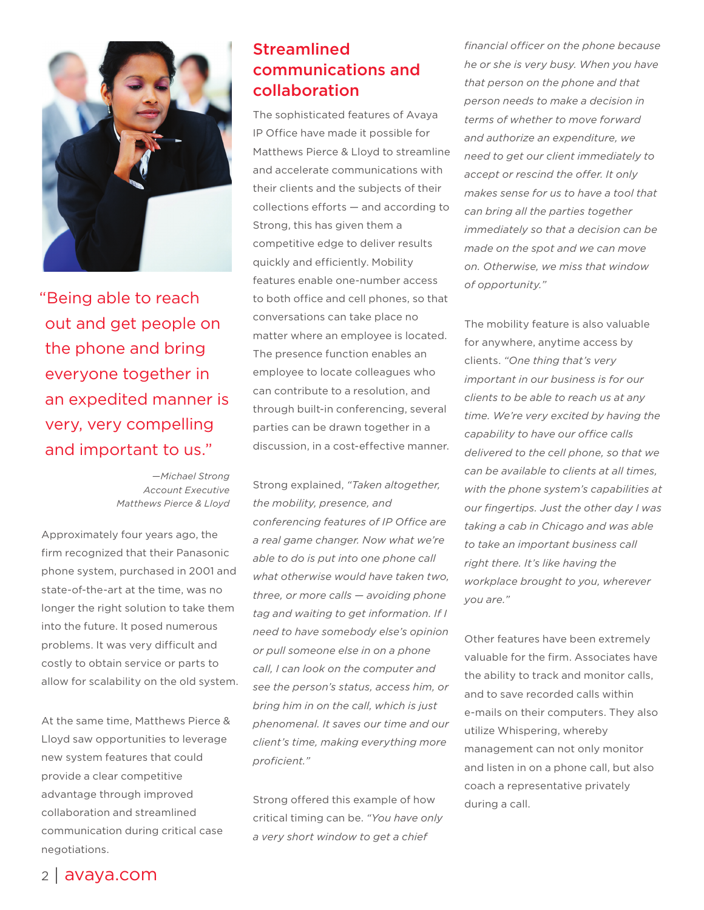

"Being able to reach out and get people on the phone and bring everyone together in an expedited manner is very, very compelling and important to us."

> *—Michael Strong Account Executive Matthews Pierce & Lloyd*

Approximately four years ago, the firm recognized that their Panasonic phone system, purchased in 2001 and state-of-the-art at the time, was no longer the right solution to take them into the future. It posed numerous problems. It was very difficult and costly to obtain service or parts to allow for scalability on the old system.

At the same time, Matthews Pierce & Lloyd saw opportunities to leverage new system features that could provide a clear competitive advantage through improved collaboration and streamlined communication during critical case negotiations.

## Streamlined communications and collaboration

The sophisticated features of Avaya IP Office have made it possible for Matthews Pierce & Lloyd to streamline and accelerate communications with their clients and the subjects of their collections efforts — and according to Strong, this has given them a competitive edge to deliver results quickly and efficiently. Mobility features enable one-number access to both office and cell phones, so that conversations can take place no matter where an employee is located. The presence function enables an employee to locate colleagues who can contribute to a resolution, and through built-in conferencing, several parties can be drawn together in a discussion, in a cost-effective manner.

Strong explained, *"Taken altogether, the mobility, presence, and conferencing features of IP Office are a real game changer. Now what we're able to do is put into one phone call what otherwise would have taken two, three, or more calls — avoiding phone tag and waiting to get information. If I need to have somebody else's opinion or pull someone else in on a phone call, I can look on the computer and see the person's status, access him, or bring him in on the call, which is just phenomenal. It saves our time and our client's time, making everything more proficient."*

Strong offered this example of how critical timing can be. *"You have only a very short window to get a chief* 

*financial officer on the phone because he or she is very busy. When you have that person on the phone and that person needs to make a decision in terms of whether to move forward and authorize an expenditure, we need to get our client immediately to accept or rescind the offer. It only makes sense for us to have a tool that can bring all the parties together immediately so that a decision can be made on the spot and we can move on. Otherwise, we miss that window of opportunity."* 

The mobility feature is also valuable for anywhere, anytime access by clients. *"One thing that's very important in our business is for our clients to be able to reach us at any time. We're very excited by having the capability to have our office calls delivered to the cell phone, so that we can be available to clients at all times, with the phone system's capabilities at our fingertips. Just the other day I was taking a cab in Chicago and was able to take an important business call right there. It's like having the workplace brought to you, wherever you are."* 

Other features have been extremely valuable for the firm. Associates have the ability to track and monitor calls, and to save recorded calls within e-mails on their computers. They also utilize Whispering, whereby management can not only monitor and listen in on a phone call, but also coach a representative privately during a call.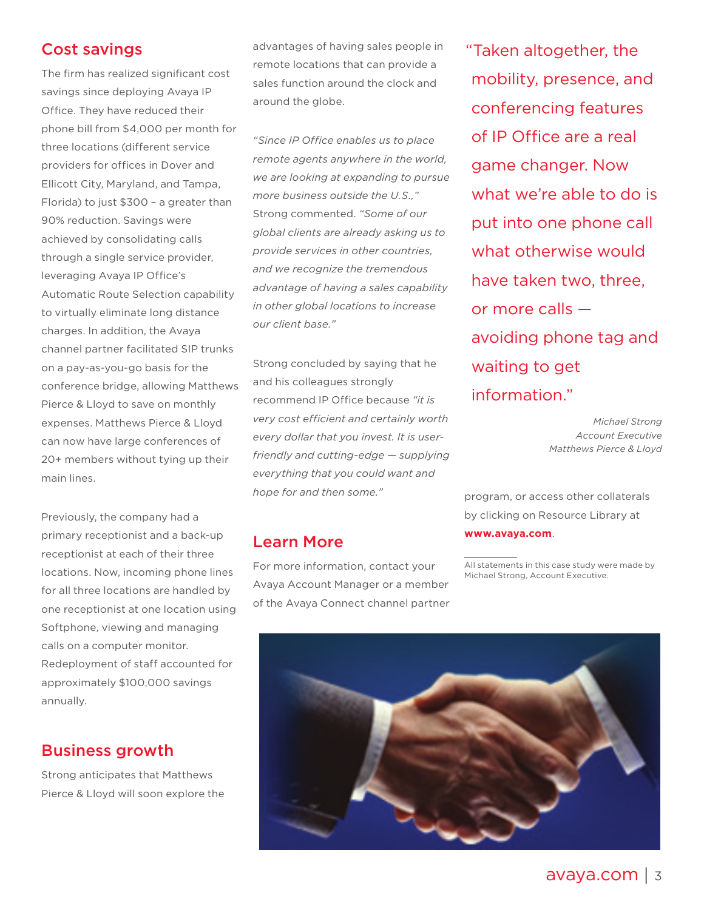#### Cost savings

The firm has realized significant cost savings since deploying Avaya IP Office. They have reduced their phone bill from \$4,000 per month for three locations (different service providers for offices in Dover and Ellicott City, Maryland, and Tampa, Florida) to just \$300 – a greater than 90% reduction. Savings were achieved by consolidating calls through a single service provider, leveraging Avaya IP Office's Automatic Route Selection capability to virtually eliminate long distance charges. In addition, the Avaya channel partner facilitated SIP trunks on a pay-as-you-go basis for the conference bridge, allowing Matthews Pierce & Lloyd to save on monthly expenses. Matthews Pierce & Lloyd can now have large conferences of 20+ members without tying up their main lines.

Previously, the company had a primary receptionist and a back-up receptionist at each of their three locations. Now, incoming phone lines for all three locations are handled by one receptionist at one location using Softphone, viewing and managing calls on a computer monitor. Redeployment of staff accounted for approximately \$100,000 savings annually.

#### Business growth

Strong anticipates that Matthews Pierce & Lloyd will soon explore the advantages of having sales people in remote locations that can provide a sales function around the clock and around the globe.

*"Since IP Office enables us to place remote agents anywhere in the world, we are looking at expanding to pursue more business outside the U.S.,"* Strong commented. *"Some of our global clients are already asking us to provide services in other countries, and we recognize the tremendous advantage of having a sales capability in other global locations to increase our client base."*

Strong concluded by saying that he and his colleagues strongly recommend IP Office because *"it is very cost efficient and certainly worth every dollar that you invest. It is userfriendly and cutting-edge — supplying everything that you could want and hope for and then some."*

#### Learn More

For more information, contact your Avaya Account Manager or a member of the Avaya Connect channel partner "Taken altogether, the mobility, presence, and conferencing features of IP Office are a real game changer. Now what we're able to do is put into one phone call what otherwise would have taken two, three, or more calls avoiding phone tag and waiting to get information."

> *Michael Strong Account Executive Matthews Pierce & Lloyd*

program, or access other collaterals by clicking on Resource Library at **[www.avaya.com](http://www.avaya.com)**.

All statements in this case study were made by Michael Strong, Account Executive.